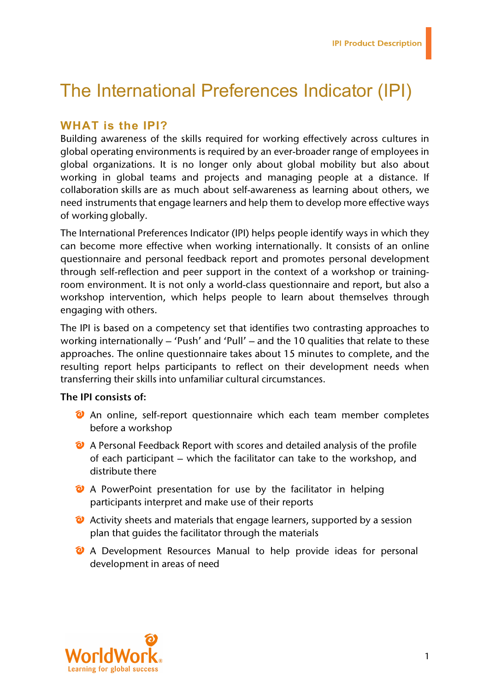# The International Preferences Indicator (IPI)

### **WHAT is the IPI?**

Building awareness of the skills required for working effectively across cultures in global operating environments is required by an ever-broader range of employees in global organizations. It is no longer only about global mobility but also about working in global teams and projects and managing people at a distance. If collaboration skills are as much about self-awareness as learning about others, we need instruments that engage learners and help them to develop more effective ways of working globally.

The International Preferences Indicator (IPI) helps people identify ways in which they can become more effective when working internationally. It consists of an online questionnaire and personal feedback report and promotes personal development through self-reflection and peer support in the context of a workshop or trainingroom environment. It is not only a world-class questionnaire and report, but also a workshop intervention, which helps people to learn about themselves through engaging with others.

The IPI is based on a competency set that identifies two contrasting approaches to working internationally – 'Push' and 'Pull' – and the 10 qualities that relate to these approaches. The online questionnaire takes about 15 minutes to complete, and the resulting report helps participants to reflect on their development needs when transferring their skills into unfamiliar cultural circumstances.

#### **The IPI consists of:**

- <sup>2</sup> An online, self-report questionnaire which each team member completes before a workshop
- A Personal Feedback Report with scores and detailed analysis of the profile of each participant – which the facilitator can take to the workshop, and distribute there
- <sup>2</sup> A PowerPoint presentation for use by the facilitator in helping participants interpret and make use of their reports
- <sup>2</sup> Activity sheets and materials that engage learners, supported by a session plan that guides the facilitator through the materials
- <sup>2</sup> A Development Resources Manual to help provide ideas for personal development in areas of need

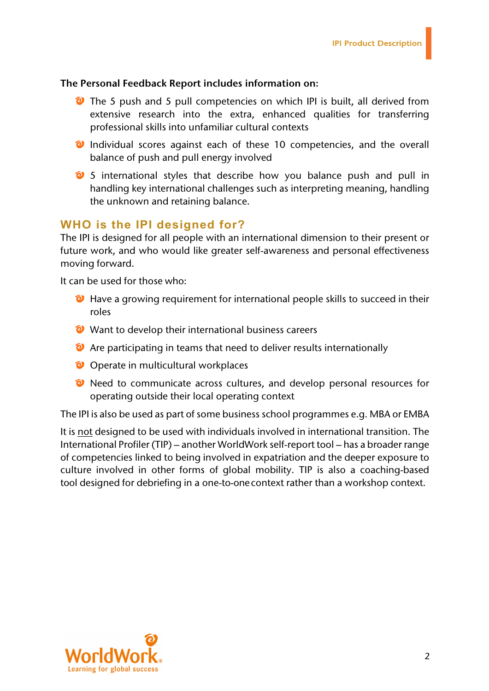#### **The Personal Feedback Report includes information on:**

- The 5 push and 5 pull competencies on which IPI is built, all derived from extensive research into the extra, enhanced qualities for transferring professional skills into unfamiliar cultural contexts
- **2** Individual scores against each of these 10 competencies, and the overall balance of push and pull energy involved
- <sup>2</sup> 5 international styles that describe how you balance push and pull in handling key international challenges such as interpreting meaning, handling the unknown and retaining balance.

## **WHO is the IPI designed for?**

The IPI is designed for all people with an international dimension to their present or future work, and who would like greater self-awareness and personal effectiveness moving forward.

It can be used for those who:

- **E** Have a growing requirement for international people skills to succeed in their roles
- Want to develop their international business careers
- <sup>2</sup> Are participating in teams that need to deliver results internationally
- O Operate in multicultural workplaces
- <sup>2</sup> Need to communicate across cultures, and develop personal resources for operating outside their local operating context

The IPI is also be used as part of some business school programmes e.g. MBA or EMBA

It is not designed to be used with individuals involved in international transition. The International Profiler (TIP) – another WorldWork self-report tool – has a broader range of competencies linked to being involved in expatriation and the deeper exposure to culture involved in other forms of global mobility. TIP is also a coaching-based tool designed for debriefing in a one-to-onecontext rather than a workshop context.

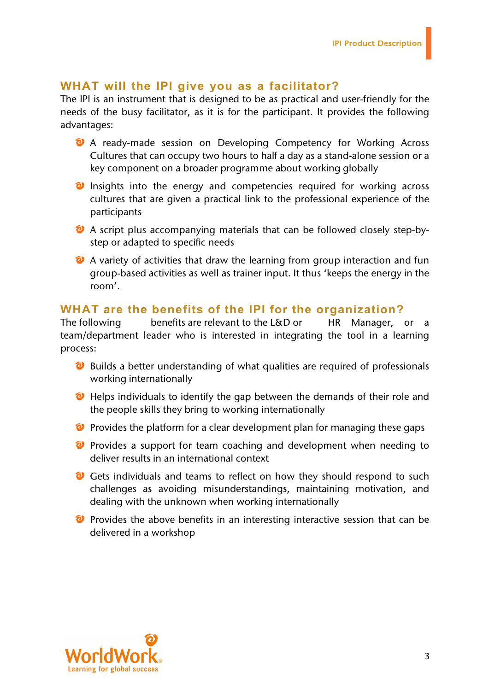#### **WHAT will the IPI give you as a facilitator?**

The IPI is an instrument that is designed to be as practical and user-friendly for the needs of the busy facilitator, as it is for the participant. It provides the following advantages:

- A ready-made session on Developing Competency for Working Across Cultures that can occupy two hours to half a day as a stand-alone session or a key component on a broader programme about working globally
- **O** Insights into the energy and competencies required for working across cultures that are given a practical link to the professional experience of the participants
- A script plus accompanying materials that can be followed closely step-bystep or adapted to specific needs
- <sup>2</sup> A variety of activities that draw the learning from group interaction and fun group-based activities as well as trainer input. It thus 'keeps the energy in the room'.

## **WHAT are the benefits of the IPI for the organization?**

The following benefits are relevant to the L&D or HR Manager, or a team/department leader who is interested in integrating the tool in a learning process:

- <sup>2</sup> Builds a better understanding of what qualities are required of professionals working internationally
- **O** Helps individuals to identify the gap between the demands of their role and the people skills they bring to working internationally
- $\bullet$  Provides the platform for a clear development plan for managing these gaps
- **P** Provides a support for team coaching and development when needing to deliver results in an international context
- C Gets individuals and teams to reflect on how they should respond to such challenges as avoiding misunderstandings, maintaining motivation, and dealing with the unknown when working internationally
- **P** Provides the above benefits in an interesting interactive session that can be delivered in a workshop